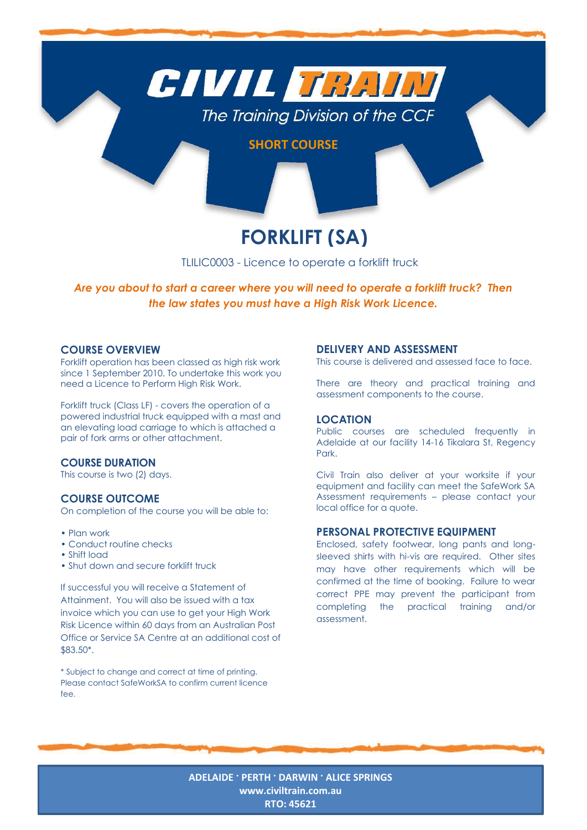

# **FORKLIFT (SA)**

TLILIC0003 - Licence to operate a forklift truck

*Are you about to start a career where you will need to operate a forklift truck? Then the law states you must have a High Risk Work Licence.*

## **COURSE OVERVIEW**

Forklift operation has been classed as high risk work since 1 September 2010. To undertake this work you need a Licence to Perform High Risk Work.

Forklift truck (Class LF) - covers the operation of a powered industrial truck equipped with a mast and an elevating load carriage to which is attached a pair of fork arms or other attachment.

# **COURSE DURATION**

This course is two (2) days.

# **COURSE OUTCOME**

On completion of the course you will be able to:

- Plan work
- Conduct routine checks
- Shift load
- Shut down and secure forklift truck

If successful you will receive a Statement of Attainment. You will also be issued with a tax invoice which you can use to get your High Work Risk Licence within 60 days from an Australian Post Office or Service SA Centre at an additional cost of \$83.50\*.

\* Subject to change and correct at time of printing. Please contact SafeWorkSA to confirm current licence fee.

### **DELIVERY AND ASSESSMENT**

This course is delivered and assessed face to face.

There are theory and practical training and assessment components to the course.

#### **LOCATION**

Public courses are scheduled frequently in Adelaide at our facility 14-16 Tikalara St, Regency Park.

Civil Train also deliver at your worksite if your equipment and facility can meet the SafeWork SA Assessment requirements – please contact your local office for a quote.

# **PERSONAL PROTECTIVE EQUIPMENT**

Enclosed, safety footwear, long pants and longsleeved shirts with hi-vis are required. Other sites may have other requirements which will be confirmed at the time of booking. Failure to wear correct PPE may prevent the participant from completing the practical training and/or assessment.

**ADELAIDE · PERTH · DARWIN · ALICE SPRINGS [www.civiltrain.com.au](http://www.civiltrain.com.au/) RTO: 45621**